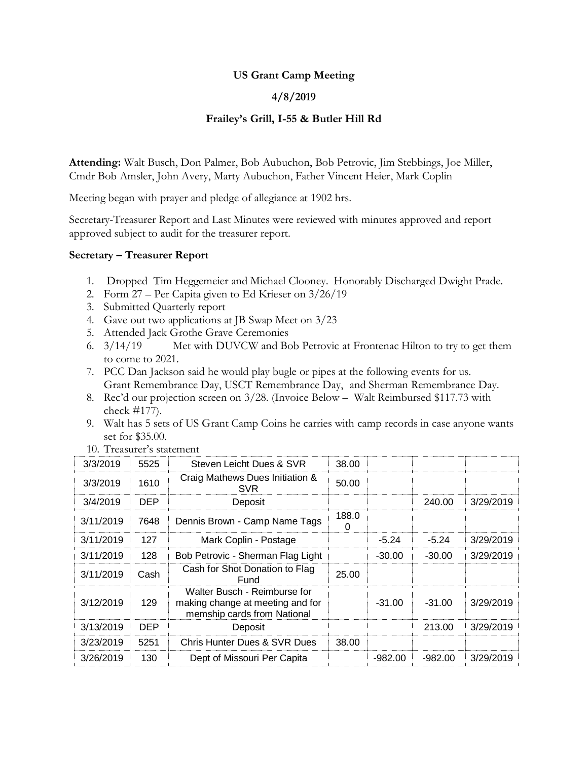## **US Grant Camp Meeting**

## **4/8/2019**

## **Frailey's Grill, I-55 & Butler Hill Rd**

**Attending:** Walt Busch, Don Palmer, Bob Aubuchon, Bob Petrovic, Jim Stebbings, Joe Miller, Cmdr Bob Amsler, John Avery, Marty Aubuchon, Father Vincent Heier, Mark Coplin

Meeting began with prayer and pledge of allegiance at 1902 hrs.

Secretary-Treasurer Report and Last Minutes were reviewed with minutes approved and report approved subject to audit for the treasurer report.

### **Secretary – Treasurer Report**

- 1. Dropped Tim Heggemeier and Michael Clooney. Honorably Discharged Dwight Prade.
- 2. Form 27 Per Capita given to Ed Krieser on 3/26/19
- 3. Submitted Quarterly report
- 4. Gave out two applications at JB Swap Meet on 3/23
- 5. Attended Jack Grothe Grave Ceremonies
- 6. 3/14/19 Met with DUVCW and Bob Petrovic at Frontenac Hilton to try to get them to come to 2021.
- 7. PCC Dan Jackson said he would play bugle or pipes at the following events for us. Grant Remembrance Day, USCT Remembrance Day, and Sherman Remembrance Day.
- 8. Rec'd our projection screen on 3/28. (Invoice Below Walt Reimbursed \$117.73 with check #177).
- 9. Walt has 5 sets of US Grant Camp Coins he carries with camp records in case anyone wants set for \$35.00.

| 3/3/2019  | 5525       | Steven Leicht Dues & SVR                                                                        | 38.00 |           |           |           |
|-----------|------------|-------------------------------------------------------------------------------------------------|-------|-----------|-----------|-----------|
| 3/3/2019  | 1610       | Craig Mathews Dues Initiation &<br><b>SVR</b>                                                   | 50.00 |           |           |           |
| 3/4/2019  | <b>DEP</b> | Deposit                                                                                         |       |           | 240.00    | 3/29/2019 |
| 3/11/2019 | 7648       | Dennis Brown - Camp Name Tags                                                                   |       |           |           |           |
| 3/11/2019 | 127        | Mark Coplin - Postage                                                                           |       | $-5.24$   | $-5.24$   | 3/29/2019 |
| 3/11/2019 | 128        | Bob Petrovic - Sherman Flag Light                                                               |       | $-30.00$  | $-30.00$  | 3/29/2019 |
| 3/11/2019 | Cash       | Cash for Shot Donation to Flag<br>Fund                                                          | 25.00 |           |           |           |
| 3/12/2019 | 129        | Walter Busch - Reimburse for<br>making change at meeting and for<br>memship cards from National |       | $-31.00$  | $-31.00$  | 3/29/2019 |
| 3/13/2019 | <b>DEP</b> | Deposit                                                                                         |       |           | 213.00    | 3/29/2019 |
| 3/23/2019 | 5251       | Chris Hunter Dues & SVR Dues                                                                    | 38.00 |           |           |           |
| 3/26/2019 | 130        | Dept of Missouri Per Capita                                                                     |       | $-982.00$ | $-982.00$ | 3/29/2019 |

10. Treasurer's statement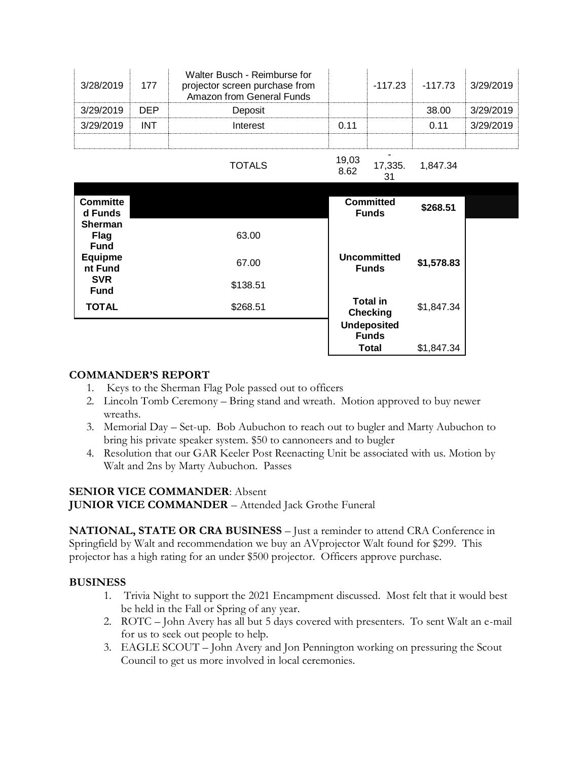| 3/28/2019 | 177        | Walter Busch - Reimburse for<br>projector screen purchase from<br>Amazon from General Funds |       | -117.23 | -117.73 | 3/29/2019 |
|-----------|------------|---------------------------------------------------------------------------------------------|-------|---------|---------|-----------|
| 3/29/2019 | <b>DEP</b> | Deposit                                                                                     |       |         | 38.00   | 3/29/2019 |
| 3/29/2019 | INT        | Interest                                                                                    | 0.11  |         | O 11    | 3/29/2019 |
|           |            |                                                                                             |       |         |         |           |
|           |            |                                                                                             | 10.02 |         |         |           |

TOTALS 19,03

8.62 17,335. 31 1,847.34

| <b>Committe</b><br>d Funds              |                      | <b>Committed</b><br><b>Funds</b>                      | \$268.51   |  |
|-----------------------------------------|----------------------|-------------------------------------------------------|------------|--|
| <b>Sherman</b><br>Flag<br><b>Fund</b>   | 63.00                |                                                       |            |  |
| <b>Equipme</b><br>nt Fund<br><b>SVR</b> | 67.00                | <b>Uncommitted</b><br><b>Funds</b>                    | \$1,578.83 |  |
| <b>Fund</b><br><b>TOTAL</b>             | \$138.51<br>\$268.51 | <b>Total in</b>                                       | \$1,847.34 |  |
|                                         |                      | <b>Checking</b><br><b>Undeposited</b><br><b>Funds</b> |            |  |
|                                         |                      | <b>Total</b>                                          | \$1,847.34 |  |

## **COMMANDER'S REPORT**

- 1. Keys to the Sherman Flag Pole passed out to officers
- 2. Lincoln Tomb Ceremony Bring stand and wreath. Motion approved to buy newer wreaths.
- 3. Memorial Day Set-up. Bob Aubuchon to reach out to bugler and Marty Aubuchon to bring his private speaker system. \$50 to cannoneers and to bugler
- 4. Resolution that our GAR Keeler Post Reenacting Unit be associated with us. Motion by Walt and 2ns by Marty Aubuchon. Passes

## **SENIOR VICE COMMANDER**: Absent

**JUNIOR VICE COMMANDER** – Attended Jack Grothe Funeral

**NATIONAL, STATE OR CRA BUSINESS** – Just a reminder to attend CRA Conference in Springfield by Walt and recommendation we buy an AVprojector Walt found for \$299. This projector has a high rating for an under \$500 projector. Officers approve purchase.

### **BUSINESS**

- 1. Trivia Night to support the 2021 Encampment discussed. Most felt that it would best be held in the Fall or Spring of any year.
- 2. ROTC John Avery has all but 5 days covered with presenters. To sent Walt an e-mail for us to seek out people to help.
- 3. EAGLE SCOUT John Avery and Jon Pennington working on pressuring the Scout Council to get us more involved in local ceremonies.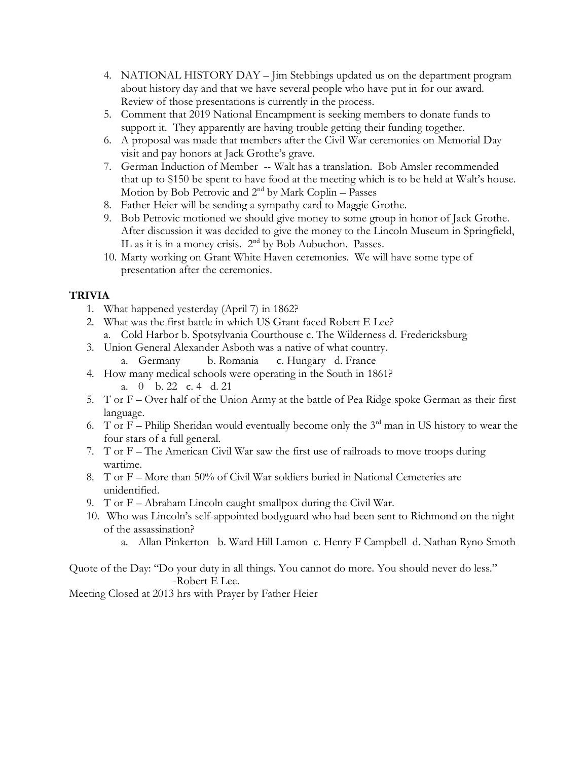- 4. NATIONAL HISTORY DAY Jim Stebbings updated us on the department program about history day and that we have several people who have put in for our award. Review of those presentations is currently in the process.
- 5. Comment that 2019 National Encampment is seeking members to donate funds to support it. They apparently are having trouble getting their funding together.
- 6. A proposal was made that members after the Civil War ceremonies on Memorial Day visit and pay honors at Jack Grothe's grave.
- 7. German Induction of Member -- Walt has a translation. Bob Amsler recommended that up to \$150 be spent to have food at the meeting which is to be held at Walt's house. Motion by Bob Petrovic and 2<sup>nd</sup> by Mark Coplin – Passes
- 8. Father Heier will be sending a sympathy card to Maggie Grothe.
- 9. Bob Petrovic motioned we should give money to some group in honor of Jack Grothe. After discussion it was decided to give the money to the Lincoln Museum in Springfield, IL as it is in a money crisis. 2<sup>nd</sup> by Bob Aubuchon. Passes.
- 10. Marty working on Grant White Haven ceremonies. We will have some type of presentation after the ceremonies.

## **TRIVIA**

- 1. What happened yesterday (April 7) in 1862?
- 2. What was the first battle in which US Grant faced Robert E Lee?
	- a. Cold Harbor b. Spotsylvania Courthouse c. The Wilderness d. Fredericksburg
- 3. Union General Alexander Asboth was a native of what country.
	- a. Germany b. Romania c. Hungary d. France
- 4. How many medical schools were operating in the South in 1861? a. 0 b. 22 c. 4 d. 21
- 5. T or F Over half of the Union Army at the battle of Pea Ridge spoke German as their first language.
- 6. T or F Philip Sheridan would eventually become only the  $3<sup>rd</sup>$  man in US history to wear the four stars of a full general.
- 7. T or F The American Civil War saw the first use of railroads to move troops during wartime.
- 8. T or F More than 50% of Civil War soldiers buried in National Cemeteries are unidentified.
- 9. T or F Abraham Lincoln caught smallpox during the Civil War.
- 10. Who was Lincoln's self-appointed bodyguard who had been sent to Richmond on the night of the assassination?
	- a. Allan Pinkerton b. Ward Hill Lamon c. Henry F Campbell d. Nathan Ryno Smoth

Quote of the Day: "Do your duty in all things. You cannot do more. You should never do less." -Robert E Lee.

Meeting Closed at 2013 hrs with Prayer by Father Heier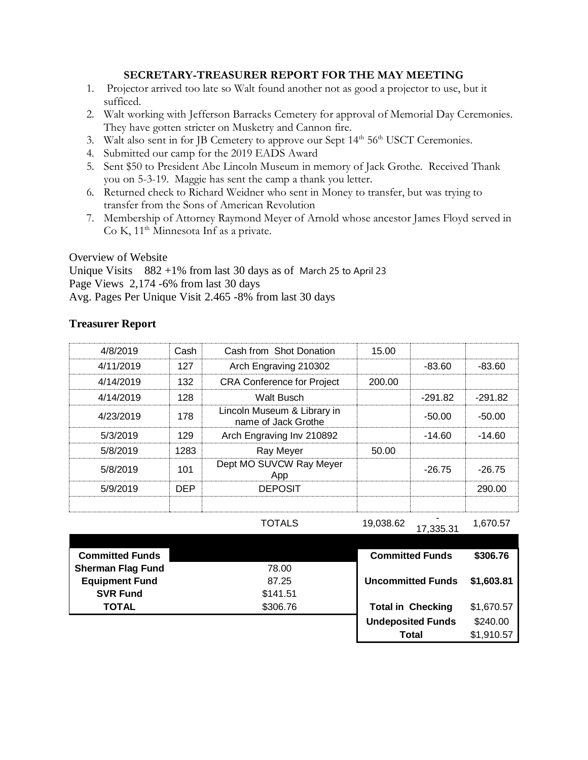### **SECRETARY-TREASURER REPORT FOR THE MAY MEETING**

- 1. Projector arrived too late so Walt found another not as good a projector to use, but it sufficed.
- 2. Walt working with Jefferson Barracks Cemetery for approval of Memorial Day Ceremonies. They have gotten stricter on Musketry and Cannon fire.
- 3. Walt also sent in for JB Cemetery to approve our Sept  $14<sup>th</sup> 56<sup>th</sup> USCT$  Ceremonies.
- 4. Submitted our camp for the 2019 EADS Award
- 5. Sent \$50 to President Abe Lincoln Museum in memory of Jack Grothe. Received Thank you on 5-3-19. Maggie has sent the camp a thank you letter.
- 6. Returned check to Richard Weidner who sent in Money to transfer, but was trying to transfer from the Sons of American Revolution
- 7. Membership of Attorney Raymond Meyer of Arnold whose ancestor James Floyd served in Co K,  $11<sup>th</sup>$  Minnesota Inf as a private.

Overview of Website

Unique Visits 882 +1% from last 30 days as of March 25 to April 23 Page Views 2,174 -6% from last 30 days Avg. Pages Per Unique Visit 2.465 -8% from last 30 days

### **Treasurer Report**

| 4/8/2019         | Cash | Cash from Shot Donation                            | 15.00  |           |           |
|------------------|------|----------------------------------------------------|--------|-----------|-----------|
| 4/11/2019<br>127 |      | Arch Engraving 210302                              |        | -83.60    | $-83.60$  |
| 4/14/2019        | 132  | <b>CRA Conference for Project</b>                  | 200.00 |           |           |
| 4/14/2019        | 128  | <b>Walt Busch</b>                                  |        | $-291.82$ | $-291.82$ |
| 4/23/2019        | 178  | Lincoln Museum & Library in<br>name of Jack Grothe |        | $-50.00$  | $-50.00$  |
| 5/3/2019         | 129  | Arch Engraving Inv 210892                          |        | $-14.60$  | $-14.60$  |
| 5/8/2019         | 1283 | Ray Meyer                                          | 50.00  |           |           |
| 5/8/2019         | 101  | Dept MO SUVCW Ray Meyer<br>App                     |        | $-26.75$  | $-26.75$  |
| 5/9/2019         | DEP. | <b>DEPOSIT</b>                                     |        |           | 290.00    |
|                  |      |                                                    |        |           |           |

TOTALS 19,038.62

17,335.31 1,670.57

| <b>Committed Funds</b>   |          | <b>Committed Funds</b>   | \$306.76   |
|--------------------------|----------|--------------------------|------------|
| <b>Sherman Flag Fund</b> | 78.00    |                          |            |
| <b>Equipment Fund</b>    | 87.25    | <b>Uncommitted Funds</b> | \$1,603.81 |
| <b>SVR Fund</b>          | \$141.51 |                          |            |
| <b>TOTAL</b>             | \$306.76 | <b>Total in Checking</b> | \$1,670.57 |
|                          |          | <b>Undeposited Funds</b> | \$240.00   |
|                          |          | Total                    | \$1,910.57 |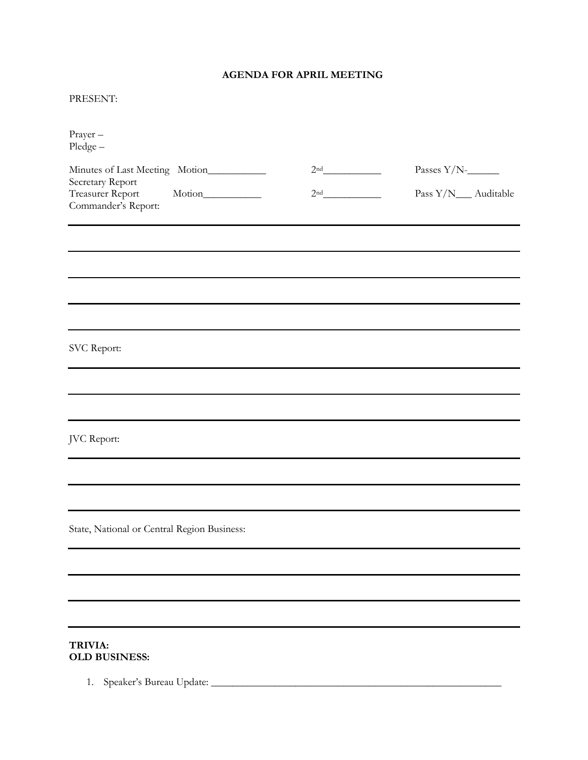## **AGENDA FOR APRIL MEETING**

#### PRESENT:

| Prayer-<br>$Pledge -$                                       |                 |                      |
|-------------------------------------------------------------|-----------------|----------------------|
| Minutes of Last Meeting Motion__________                    | 2 <sup>nd</sup> | Passes $Y/N$ -       |
| Secretary Report<br>Treasurer Report<br>Commander's Report: | 2 <sup>nd</sup> | Pass Y/N__ Auditable |
|                                                             |                 |                      |
|                                                             |                 |                      |
|                                                             |                 |                      |
|                                                             |                 |                      |
| SVC Report:                                                 |                 |                      |
|                                                             |                 |                      |
|                                                             |                 |                      |
| JVC Report:                                                 |                 |                      |
|                                                             |                 |                      |
|                                                             |                 |                      |
| State, National or Central Region Business:                 |                 |                      |
|                                                             |                 |                      |
|                                                             |                 |                      |
|                                                             |                 |                      |
| TRIVIA:                                                     |                 |                      |

# **OLD BUSINESS:**

1. Speaker's Bureau Update: \_\_\_\_\_\_\_\_\_\_\_\_\_\_\_\_\_\_\_\_\_\_\_\_\_\_\_\_\_\_\_\_\_\_\_\_\_\_\_\_\_\_\_\_\_\_\_\_\_\_\_\_\_\_\_